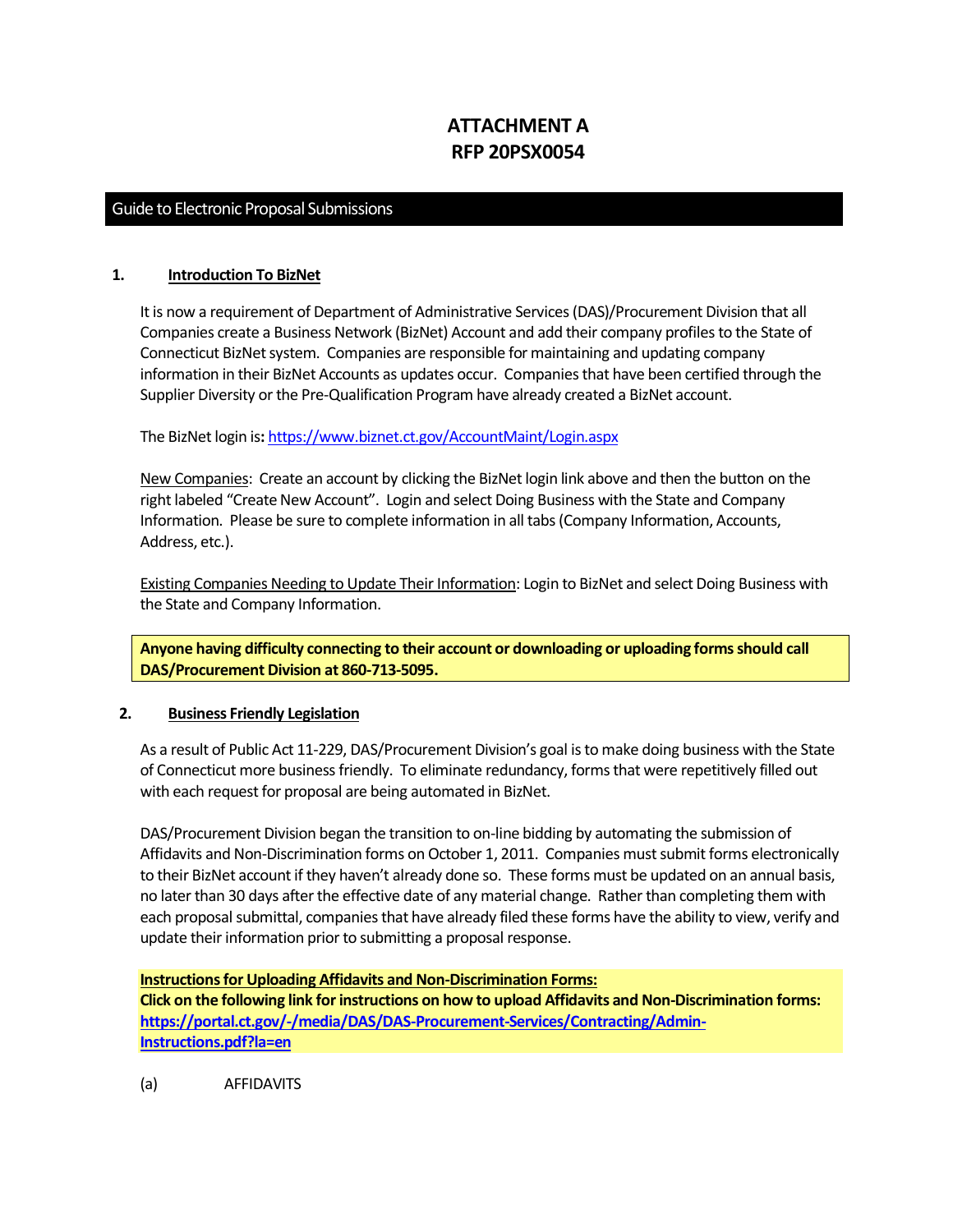# **ATTACHMENT A RFP 20PSX0054**

# Guide to Electronic Proposal Submissions

#### **1. Introduction To BizNet**

It is now a requirement of Department of Administrative Services (DAS)/Procurement Division that all Companies create a Business Network (BizNet) Account and add their company profiles to the State of Connecticut BizNet system. Companies are responsible for maintaining and updating company information in their BizNet Accounts as updates occur. Companies that have been certified through the Supplier Diversity or the Pre-Qualification Program have already created a BizNet account.

The BizNet login is**:** <https://www.biznet.ct.gov/AccountMaint/Login.aspx>

New Companies: Create an account by clicking the BizNet login link above and then the button on the right labeled "Create New Account". Login and select Doing Business with the State and Company Information. Please be sure to complete information in all tabs (Company Information, Accounts, Address, etc.).

Existing Companies Needing to Update Their Information: Login to BizNet and select Doing Business with the State and Company Information.

**Anyone having difficulty connecting to their account or downloading or uploading forms should call DAS/Procurement Division at 860-713-5095.**

#### **2. Business Friendly Legislation**

As a result of Public Act 11-229, DAS/Procurement Division's goal is to make doing business with the State of Connecticut more business friendly. To eliminate redundancy, forms that were repetitively filled out with each request for proposal are being automated in BizNet.

DAS/Procurement Division began the transition to on-line bidding by automating the submission of Affidavits and Non-Discrimination forms on October 1, 2011. Companies must submit forms electronically to their BizNet account if they haven't already done so. These forms must be updated on an annual basis, no later than 30 days after the effective date of any material change. Rather than completing them with each proposal submittal, companies that have already filed these forms have the ability to view, verify and update their information prior to submitting a proposal response.

#### **Instructions for Uploading Affidavits and Non-Discrimination Forms:**

**Click on the following link for instructions on how to upload Affidavits and Non-Discrimination forms: [https://portal.ct.gov/-/media/DAS/DAS-Procurement-Services/Contracting/Admin-](https://portal.ct.gov/-/media/DAS/DAS-Procurement-Services/Contracting/Admin-Instructions.pdf?la=en)[Instructions.pdf?la=en](https://portal.ct.gov/-/media/DAS/DAS-Procurement-Services/Contracting/Admin-Instructions.pdf?la=en)**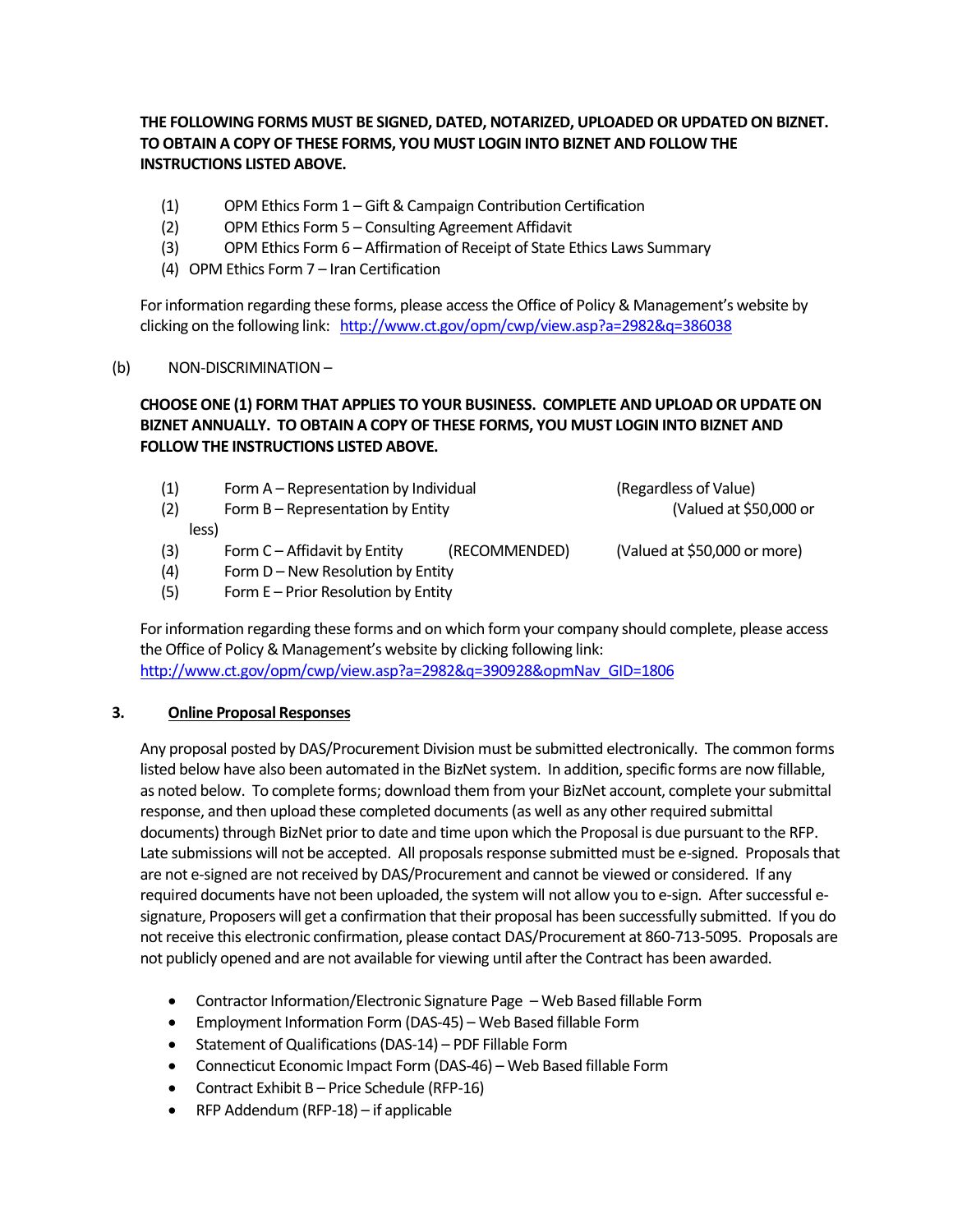**THE FOLLOWING FORMS MUST BE SIGNED, DATED, NOTARIZED, UPLOADED OR UPDATED ON BIZNET. TO OBTAIN A COPY OF THESE FORMS, YOU MUST LOGIN INTO BIZNET AND FOLLOW THE INSTRUCTIONS LISTED ABOVE.**

- (1) OPM Ethics Form 1 Gift & Campaign Contribution Certification
- (2) OPM Ethics Form 5 Consulting Agreement Affidavit
- (3) OPM Ethics Form 6 Affirmation of Receipt of State Ethics Laws Summary
- (4) OPM Ethics Form 7 Iran Certification

For information regarding these forms, please access the Office of Policy & Management's website by clicking on the following link: <http://www.ct.gov/opm/cwp/view.asp?a=2982&q=386038>

## (b) NON-DISCRIMINATION –

# **CHOOSE ONE (1) FORM THAT APPLIES TO YOUR BUSINESS. COMPLETE AND UPLOAD OR UPDATE ON BIZNET ANNUALLY. TO OBTAIN A COPY OF THESE FORMS, YOU MUST LOGIN INTO BIZNET AND FOLLOW THE INSTRUCTIONS LISTED ABOVE.**

| (1) | Form A - Representation by Individual |               | (Regardless of Value)        |
|-----|---------------------------------------|---------------|------------------------------|
| (2) | Form B - Representation by Entity     |               | (Valued at \$50,000 or       |
|     | less)                                 |               |                              |
| (3) | Form $C -$ Affidavit by Entity        | (RECOMMENDED) | (Valued at \$50,000 or more) |
| (4) | Form D – New Resolution by Entity     |               |                              |
| (5) | Form E - Prior Resolution by Entity   |               |                              |

For information regarding these forms and on which form your company should complete, please access the Office of Policy & Management's website by clicking following link: [http://www.ct.gov/opm/cwp/view.asp?a=2982&q=390928&opmNav\\_GID=1806](http://www.ct.gov/opm/cwp/view.asp?a=2982&q=390928&opmNav_GID=1806)

## **3. Online Proposal Responses**

Any proposal posted by DAS/Procurement Division must be submitted electronically. The common forms listed below have also been automated in the BizNet system. In addition, specific forms are now fillable, as noted below. To complete forms; download them from your BizNet account, complete your submittal response, and then upload these completed documents (as well as any other required submittal documents) through BizNet prior to date and time upon which the Proposal is due pursuant to the RFP. Late submissions will not be accepted. All proposals response submitted must be e-signed. Proposals that are not e-signed are not received by DAS/Procurement and cannot be viewed or considered. If any required documents have not been uploaded, the system will not allow you to e-sign. After successful esignature, Proposers will get a confirmation that their proposal has been successfully submitted. If you do not receive this electronic confirmation, please contact DAS/Procurement at 860-713-5095. Proposals are not publicly opened and are not available for viewing until after the Contract has been awarded.

- Contractor Information/Electronic Signature Page Web Based fillable Form
- Employment Information Form (DAS-45) Web Based fillable Form
- Statement of Qualifications (DAS-14) PDF Fillable Form
- Connecticut Economic Impact Form (DAS-46) Web Based fillable Form
- Contract Exhibit B Price Schedule (RFP-16)
- RFP Addendum (RFP-18) if applicable